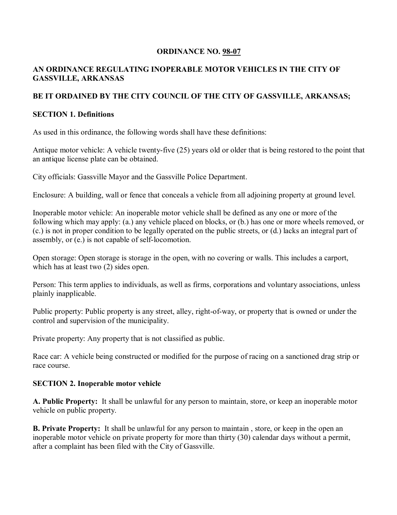### **ORDINANCE NO. 98-07**

### **AN ORDINANCE REGULATING INOPERABLE MOTOR VEHICLES IN THE CITY OF GASSVILLE, ARKANSAS**

### **BE IT ORDAINED BY THE CITY COUNCIL OF THE CITY OF GASSVILLE, ARKANSAS;**

### **SECTION 1. Definitions**

As used in this ordinance, the following words shall have these definitions:

Antique motor vehicle: A vehicle twenty-five (25) years old or older that is being restored to the point that an antique license plate can be obtained.

City officials: Gassville Mayor and the Gassville Police Department.

Enclosure: A building, wall or fence that conceals a vehicle from all adjoining property at ground level.

Inoperable motor vehicle: An inoperable motor vehicle shall be defined as any one or more of the following which may apply: (a.) any vehicle placed on blocks, or (b.) has one or more wheels removed, or (c.) is not in proper condition to be legally operated on the public streets, or (d.) lacks an integral part of assembly, or (e.) is not capable of self-locomotion.

Open storage: Open storage is storage in the open, with no covering or walls. This includes a carport, which has at least two  $(2)$  sides open.

Person: This term applies to individuals, as well as firms, corporations and voluntary associations, unless plainly inapplicable.

Public property: Public property is any street, alley, right-of-way, or property that is owned or under the control and supervision of the municipality.

Private property: Any property that is not classified as public.

Race car: A vehicle being constructed or modified for the purpose of racing on a sanctioned drag strip or race course.

# **SECTION 2. Inoperable motor vehicle**

**A. Public Property:** It shall be unlawful for any person to maintain, store, or keep an inoperable motor vehicle on public property.

**B. Private Property:** It shall be unlawful for any person to maintain , store, or keep in the open an inoperable motor vehicle on private property for more than thirty (30) calendar days without a permit, after a complaint has been filed with the City of Gassville.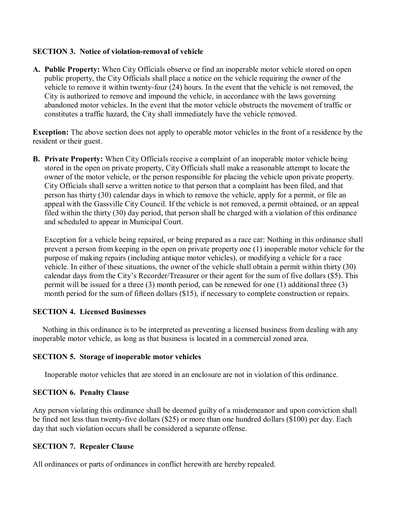#### **SECTION 3. Notice of violation-removal of vehicle**

**A. Public Property:** When City Officials observe or find an inoperable motor vehicle stored on open public property, the City Officials shall place a notice on the vehicle requiring the owner of the vehicle to remove it within twenty-four (24) hours. In the event that the vehicle is not removed, the City is authorized to remove and impound the vehicle, in accordance with the laws governing abandoned motor vehicles. In the event that the motor vehicle obstructs the movement of traffic or constitutes a traffic hazard, the City shall immediately have the vehicle removed.

**Exception:** The above section does not apply to operable motor vehicles in the front of a residence by the resident or their guest.

**B. Private Property:** When City Officials receive a complaint of an inoperable motor vehicle being stored in the open on private property, City Officials shall make a reasonable attempt to locate the owner of the motor vehicle, or the person responsible for placing the vehicle upon private property. City Officials shall serve a written notice to that person that a complaint has been filed, and that person has thirty (30) calendar days in which to remove the vehicle, apply for a permit, or file an appeal with the Gassville City Council. If the vehicle is not removed, a permit obtained, or an appeal filed within the thirty (30) day period, that person shall be charged with a violation of this ordinance and scheduled to appear in Municipal Court.

Exception for a vehicle being repaired, or being prepared as a race car: Nothing in this ordinance shall prevent a person from keeping in the open on private property one (1) inoperable motor vehicle for the purpose of making repairs (including antique motor vehicles), or modifying a vehicle for a race vehicle. In either of these situations, the owner of the vehicle shall obtain a permit within thirty (30) calendar days from the City's Recorder/Treasurer or their agent for the sum of five dollars (\$5). This permit will be issued for a three (3) month period, can be renewed for one (1) additional three (3) month period for the sum of fifteen dollars (\$15), if necessary to complete construction or repairs.

#### **SECTION 4. Licensed Businesses**

 Nothing in this ordinance is to be interpreted as preventing a licensed business from dealing with any inoperable motor vehicle, as long as that business is located in a commercial zoned area.

#### **SECTION 5. Storage of inoperable motor vehicles**

Inoperable motor vehicles that are stored in an enclosure are not in violation of this ordinance.

#### **SECTION 6. Penalty Clause**

Any person violating this ordinance shall be deemed guilty of a misdemeanor and upon conviction shall be fined not less than twenty-five dollars (\$25) or more than one hundred dollars (\$100) per day. Each day that such violation occurs shall be considered a separate offense.

#### **SECTION 7. Repealer Clause**

All ordinances or parts of ordinances in conflict herewith are hereby repealed.